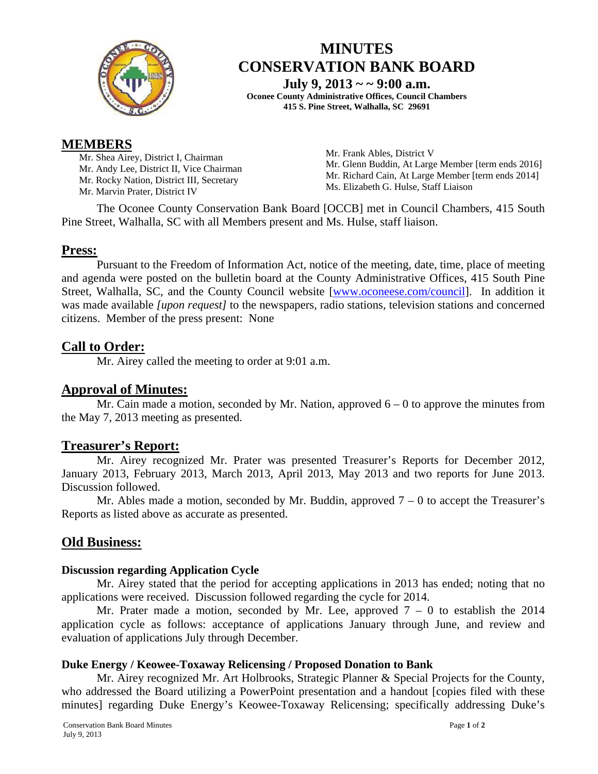

# **MINUTES CONSERVATION BANK BOARD**

**July 9, 2013 ~ ~ 9:00 a.m.** 

**Oconee County Administrative Offices, Council Chambers 415 S. Pine Street, Walhalla, SC 29691** 

# **MEMBERS**

Mr. Shea Airey, District I, Chairman Mr. Andy Lee, District II, Vice Chairman Mr. Rocky Nation, District III, Secretary Mr. Marvin Prater, District IV

Mr. Frank Ables, District V Mr. Glenn Buddin, At Large Member [term ends 2016] Mr. Richard Cain, At Large Member [term ends 2014] Ms. Elizabeth G. Hulse, Staff Liaison

The Oconee County Conservation Bank Board [OCCB] met in Council Chambers, 415 South Pine Street, Walhalla, SC with all Members present and Ms. Hulse, staff liaison.

# **Press:**

Pursuant to the Freedom of Information Act, notice of the meeting, date, time, place of meeting and agenda were posted on the bulletin board at the County Administrative Offices, 415 South Pine Street, Walhalla, SC, and the County Council website [www.oconeese.com/council]. In addition it was made available *[upon request]* to the newspapers, radio stations, television stations and concerned citizens. Member of the press present: None

# **Call to Order:**

Mr. Airey called the meeting to order at 9:01 a.m.

### **Approval of Minutes:**

Mr. Cain made a motion, seconded by Mr. Nation, approved  $6 - 0$  to approve the minutes from the May 7, 2013 meeting as presented.

# **Treasurer's Report:**

Mr. Airey recognized Mr. Prater was presented Treasurer's Reports for December 2012, January 2013, February 2013, March 2013, April 2013, May 2013 and two reports for June 2013. Discussion followed.

Mr. Ables made a motion, seconded by Mr. Buddin, approved  $7 - 0$  to accept the Treasurer's Reports as listed above as accurate as presented.

# **Old Business:**

#### **Discussion regarding Application Cycle**

 Mr. Airey stated that the period for accepting applications in 2013 has ended; noting that no applications were received. Discussion followed regarding the cycle for 2014.

Mr. Prater made a motion, seconded by Mr. Lee, approved  $7 - 0$  to establish the 2014 application cycle as follows: acceptance of applications January through June, and review and evaluation of applications July through December.

#### **Duke Energy / Keowee-Toxaway Relicensing / Proposed Donation to Bank**

Mr. Airey recognized Mr. Art Holbrooks, Strategic Planner & Special Projects for the County, who addressed the Board utilizing a PowerPoint presentation and a handout [copies filed with these minutes] regarding Duke Energy's Keowee-Toxaway Relicensing; specifically addressing Duke's